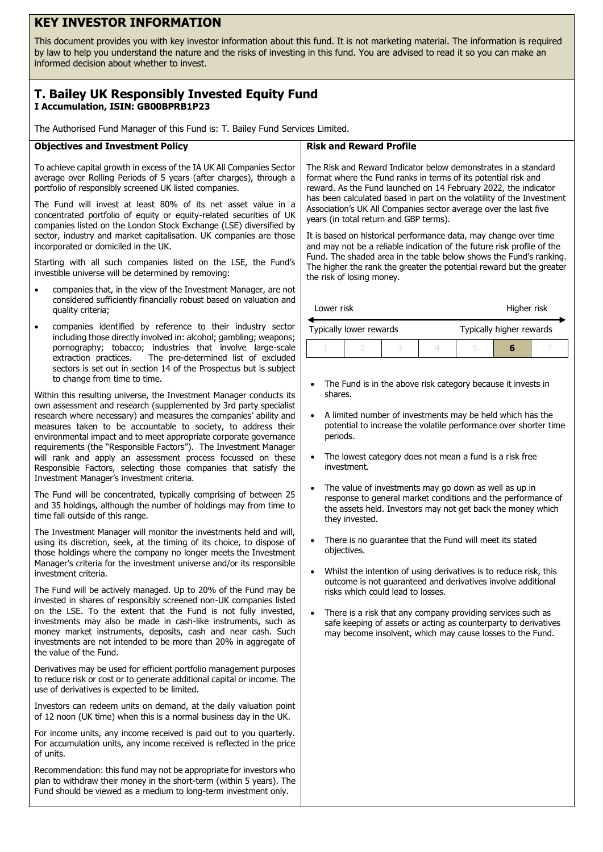# **KEY INVESTOR INFORMATION**

This document provides you with key investor information about this fund. It is not marketing material. The information is required by law to help you understand the nature and the risks of investing in this fund. You are advised to read it so you can make an informed decision about whether to invest.

## **T. Bailey UK Responsibly Invested Equity Fund I Accumulation, ISIN: GB00BPRB1P23**

The Authorised Fund Manager of this Fund is: T. Bailey Fund Services Limited.

## **Objectives and Investment Policy**

To achieve capital growth in excess of the IA UK All Companies Sector average over Rolling Periods of 5 years (after charges), through a portfolio of responsibly screened UK listed companies.

The Fund will invest at least 80% of its net asset value in a concentrated portfolio of equity or equity-related securities of UK companies listed on the London Stock Exchange (LSE) diversified by sector, industry and market capitalisation. UK companies are those incorporated or domiciled in the UK.

Starting with all such companies listed on the LSE, the Fund's investible universe will be determined by removing:

- companies that, in the view of the Investment Manager, are not considered sufficiently financially robust based on valuation and quality criteria;
- companies identified by reference to their industry sector including those directly involved in: alcohol; gambling; weapons; pornography; tobacco; industries that involve large-scale extraction practices. The pre-determined list of excluded sectors is set out in section 14 of the Prospectus but is subject to change from time to time.

Within this resulting universe, the Investment Manager conducts its own assessment and research (supplemented by 3rd party specialist research where necessary) and measures the companies' ability and measures taken to be accountable to society, to address their environmental impact and to meet appropriate corporate governance requirements (the "Responsible Factors"). The Investment Manager will rank and apply an assessment process focussed on these Responsible Factors, selecting those companies that satisfy the Investment Manager's investment criteria.

The Fund will be concentrated, typically comprising of between 25 and 35 holdings, although the number of holdings may from time to time fall outside of this range.

The Investment Manager will monitor the investments held and will, using its discretion, seek, at the timing of its choice, to dispose of those holdings where the company no longer meets the Investment Manager's criteria for the investment universe and/or its responsible investment criteria.

The Fund will be actively managed. Up to 20% of the Fund may be invested in shares of responsibly screened non-UK companies listed on the LSE. To the extent that the Fund is not fully invested, investments may also be made in cash-like instruments, such as money market instruments, deposits, cash and near cash. Such investments are not intended to be more than 20% in aggregate of the value of the Fund.

Derivatives may be used for efficient portfolio management purposes to reduce risk or cost or to generate additional capital or income. The use of derivatives is expected to be limited.

Investors can redeem units on demand, at the daily valuation point of 12 noon (UK time) when this is a normal business day in the UK.

For income units, any income received is paid out to you quarterly. For accumulation units, any income received is reflected in the price of units.

Recommendation: this fund may not be appropriate for investors who plan to withdraw their money in the short-term (within 5 years). The Fund should be viewed as a medium to long-term investment only.

## **Risk and Reward Profile**

The Risk and Reward Indicator below demonstrates in a standard format where the Fund ranks in terms of its potential risk and reward. As the Fund launched on 14 February 2022, the indicator has been calculated based in part on the volatility of the Investment Association's UK All Companies sector average over the last five years (in total return and GBP terms).

It is based on historical performance data, may change over time and may not be a reliable indication of the future risk profile of the Fund. The shaded area in the table below shows the Fund's ranking. The higher the rank the greater the potential reward but the greater the risk of losing money.

| Lower risk | Higher risk |  |
|------------|-------------|--|
|------------|-------------|--|

| Typically lower rewards |  |  | Typically higher rewards |  |  |  |
|-------------------------|--|--|--------------------------|--|--|--|
|                         |  |  |                          |  |  |  |

- The Fund is in the above risk category because it invests in shares.
- A limited number of investments may be held which has the potential to increase the volatile performance over shorter time periods.
- The lowest category does not mean a fund is a risk free investment.
- The value of investments may go down as well as up in response to general market conditions and the performance of the assets held. Investors may not get back the money which they invested.
- There is no quarantee that the Fund will meet its stated objectives.
- Whilst the intention of using derivatives is to reduce risk, this outcome is not guaranteed and derivatives involve additional risks which could lead to losses.
- There is a risk that any company providing services such as safe keeping of assets or acting as counterparty to derivatives may become insolvent, which may cause losses to the Fund.